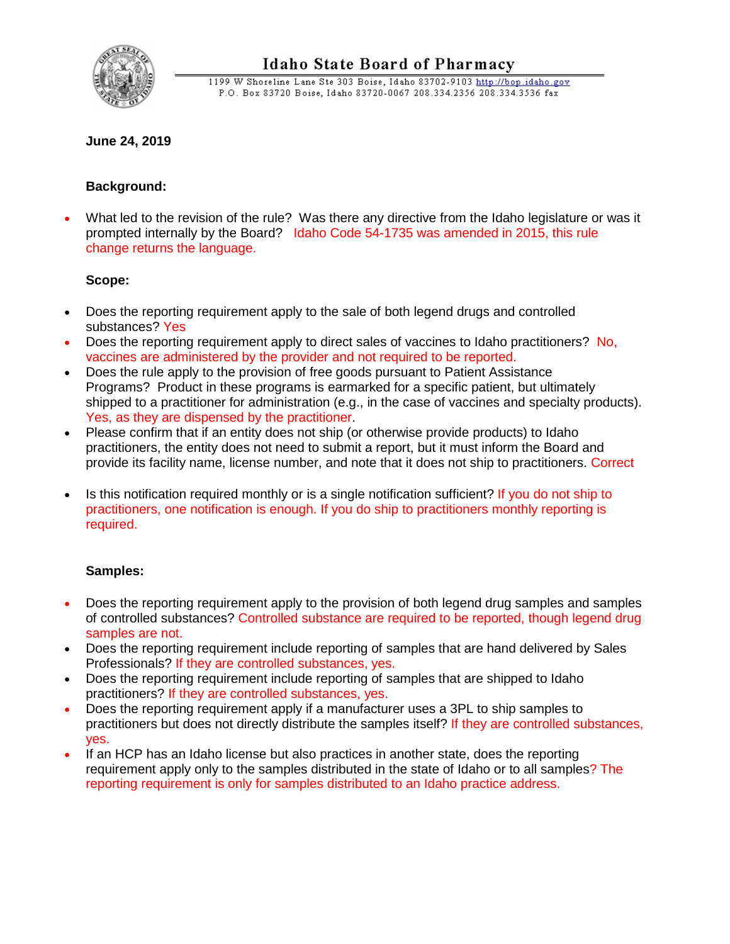

1199 W Shoreline Lane Ste 303 Boise, Idaho 83702-9103 http://bop.idaho.gov P.O. Box 83720 Boise, Idaho 83720-0067 208.334.2356 208.334.3536 fax

# **June 24, 2019**

## **Background:**

• What led to the revision of the rule? Was there any directive from the Idaho legislature or was it prompted internally by the Board? Idaho Code 54-1735 was amended in 2015, this rule change returns the language.

## **Scope:**

- Does the reporting requirement apply to the sale of both legend drugs and controlled substances? Yes
- Does the reporting requirement apply to direct sales of vaccines to Idaho practitioners? No, vaccines are administered by the provider and not required to be reported.
- Does the rule apply to the provision of free goods pursuant to Patient Assistance Programs? Product in these programs is earmarked for a specific patient, but ultimately shipped to a practitioner for administration (e.g., in the case of vaccines and specialty products). Yes, as they are dispensed by the practitioner.
- Please confirm that if an entity does not ship (or otherwise provide products) to Idaho practitioners, the entity does not need to submit a report, but it must inform the Board and provide its facility name, license number, and note that it does not ship to practitioners. Correct
- Is this notification required monthly or is a single notification sufficient? If you do not ship to practitioners, one notification is enough. If you do ship to practitioners monthly reporting is required.

## **Samples:**

- Does the reporting requirement apply to the provision of both legend drug samples and samples of controlled substances? Controlled substance are required to be reported, though legend drug samples are not.
- Does the reporting requirement include reporting of samples that are hand delivered by Sales Professionals? If they are controlled substances, yes.
- Does the reporting requirement include reporting of samples that are shipped to Idaho practitioners? If they are controlled substances, yes.
- Does the reporting requirement apply if a manufacturer uses a 3PL to ship samples to practitioners but does not directly distribute the samples itself? If they are controlled substances, yes.
- If an HCP has an Idaho license but also practices in another state, does the reporting requirement apply only to the samples distributed in the state of Idaho or to all samples? The reporting requirement is only for samples distributed to an Idaho practice address.